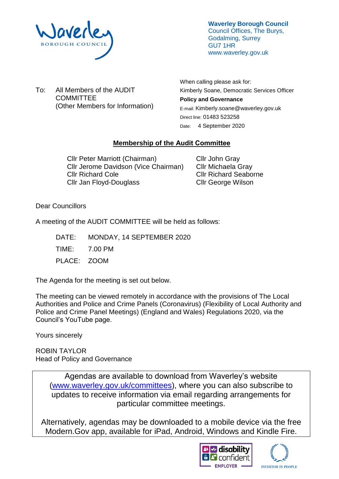

**Waverley Borough Council** Council Offices, The Burys, Godalming, Surrey GU7 1HR www.waverley.gov.uk

To: All Members of the AUDIT **COMMITTEE** (Other Members for Information) When calling please ask for: Kimberly Soane, Democratic Services Officer **Policy and Governance**  E-mail: Kimberly.soane@waverley.gov.uk Direct line: 01483 523258 Date: 4 September 2020

# **Membership of the Audit Committee**

Cllr Peter Marriott (Chairman) Cllr Jerome Davidson (Vice Chairman) Cllr Richard Cole Cllr Jan Floyd-Douglass

Cllr John Gray Cllr Michaela Gray Cllr Richard Seaborne Cllr George Wilson

Dear Councillors

A meeting of the AUDIT COMMITTEE will be held as follows:

DATE: MONDAY, 14 SEPTEMBER 2020 TIME: 7.00 PM PLACE: ZOOM

The Agenda for the meeting is set out below.

The meeting can be viewed remotely in accordance with the provisions of The Local Authorities and Police and Crime Panels (Coronavirus) (Flexibility of Local Authority and Police and Crime Panel Meetings) (England and Wales) Regulations 2020, via the Council's YouTube page.

Yours sincerely

ROBIN TAYLOR Head of Policy and Governance

> Agendas are available to download from Waverley's website [\(www.waverley.gov.uk/committees\)](http://www.waverley.gov.uk/committees), where you can also subscribe to updates to receive information via email regarding arrangements for particular committee meetings.

Alternatively, agendas may be downloaded to a mobile device via the free Modern.Gov app, available for iPad, Android, Windows and Kindle Fire.



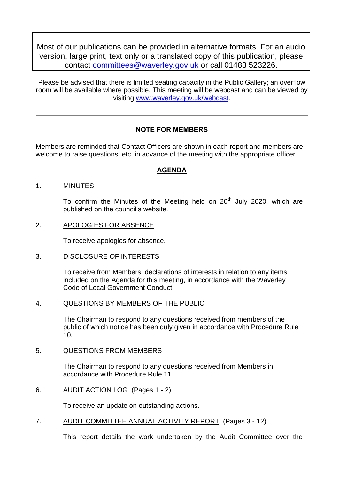Most of our publications can be provided in alternative formats. For an audio version, large print, text only or a translated copy of this publication, please contact [committees@waverley.gov.uk](mailto:committees@waverley.gov.uk) or call 01483 523226.

Please be advised that there is limited seating capacity in the Public Gallery; an overflow room will be available where possible. This meeting will be webcast and can be viewed by visiting [www.waverley.gov.uk/webcast.](http://www.waverley.gov.uk/webcast)

# **NOTE FOR MEMBERS**

Members are reminded that Contact Officers are shown in each report and members are welcome to raise questions, etc. in advance of the meeting with the appropriate officer.

## **AGENDA**

### 1. MINUTES

To confirm the Minutes of the Meeting held on  $20<sup>th</sup>$  July 2020, which are published on the council's website.

### 2. APOLOGIES FOR ABSENCE

To receive apologies for absence.

#### 3. DISCLOSURE OF INTERESTS

To receive from Members, declarations of interests in relation to any items included on the Agenda for this meeting, in accordance with the Waverley Code of Local Government Conduct.

#### 4. QUESTIONS BY MEMBERS OF THE PUBLIC

The Chairman to respond to any questions received from members of the public of which notice has been duly given in accordance with Procedure Rule 10.

#### 5. QUESTIONS FROM MEMBERS

The Chairman to respond to any questions received from Members in accordance with Procedure Rule 11.

6. AUDIT ACTION LOG (Pages 1 - 2)

To receive an update on outstanding actions.

7. AUDIT COMMITTEE ANNUAL ACTIVITY REPORT (Pages 3 - 12)

This report details the work undertaken by the Audit Committee over the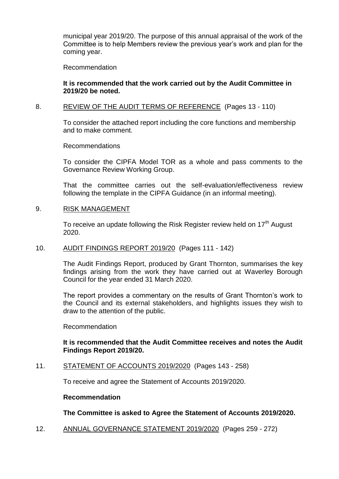municipal year 2019/20. The purpose of this annual appraisal of the work of the Committee is to help Members review the previous year's work and plan for the coming year.

Recommendation

### **It is recommended that the work carried out by the Audit Committee in 2019/20 be noted.**

### 8. REVIEW OF THE AUDIT TERMS OF REFERENCE (Pages 13 - 110)

To consider the attached report including the core functions and membership and to make comment.

Recommendations

To consider the CIPFA Model TOR as a whole and pass comments to the Governance Review Working Group.

That the committee carries out the self-evaluation/effectiveness review following the template in the CIPFA Guidance (in an informal meeting).

### 9. RISK MANAGEMENT

To receive an update following the Risk Register review held on 17<sup>th</sup> August 2020.

#### 10. AUDIT FINDINGS REPORT 2019/20 (Pages 111 - 142)

The Audit Findings Report, produced by Grant Thornton, summarises the key findings arising from the work they have carried out at Waverley Borough Council for the year ended 31 March 2020.

The report provides a commentary on the results of Grant Thornton's work to the Council and its external stakeholders, and highlights issues they wish to draw to the attention of the public.

Recommendation

## **It is recommended that the Audit Committee receives and notes the Audit Findings Report 2019/20.**

## 11. STATEMENT OF ACCOUNTS 2019/2020 (Pages 143 - 258)

To receive and agree the Statement of Accounts 2019/2020.

### **Recommendation**

## **The Committee is asked to Agree the Statement of Accounts 2019/2020.**

12. ANNUAL GOVERNANCE STATEMENT 2019/2020 (Pages 259 - 272)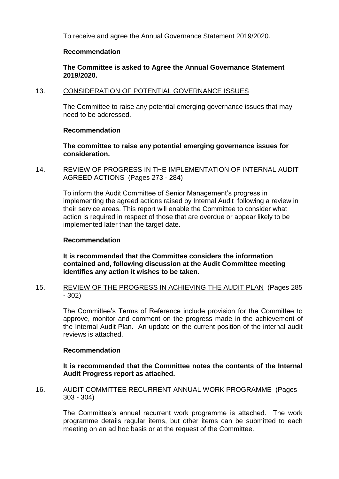To receive and agree the Annual Governance Statement 2019/2020.

### **Recommendation**

**The Committee is asked to Agree the Annual Governance Statement 2019/2020.**

## 13. CONSIDERATION OF POTENTIAL GOVERNANCE ISSUES

The Committee to raise any potential emerging governance issues that may need to be addressed.

## **Recommendation**

**The committee to raise any potential emerging governance issues for consideration.**

## 14. REVIEW OF PROGRESS IN THE IMPLEMENTATION OF INTERNAL AUDIT AGREED ACTIONS (Pages 273 - 284)

To inform the Audit Committee of Senior Management's progress in implementing the agreed actions raised by Internal Audit following a review in their service areas. This report will enable the Committee to consider what action is required in respect of those that are overdue or appear likely to be implemented later than the target date.

### **Recommendation**

**It is recommended that the Committee considers the information contained and, following discussion at the Audit Committee meeting identifies any action it wishes to be taken.**

## 15. REVIEW OF THE PROGRESS IN ACHIEVING THE AUDIT PLAN (Pages 285 - 302)

The Committee's Terms of Reference include provision for the Committee to approve, monitor and comment on the progress made in the achievement of the Internal Audit Plan. An update on the current position of the internal audit reviews is attached.

## **Recommendation**

## **It is recommended that the Committee notes the contents of the Internal Audit Progress report as attached.**

## 16. AUDIT COMMITTEE RECURRENT ANNUAL WORK PROGRAMME (Pages 303 - 304)

The Committee's annual recurrent work programme is attached. The work programme details regular items, but other items can be submitted to each meeting on an ad hoc basis or at the request of the Committee.